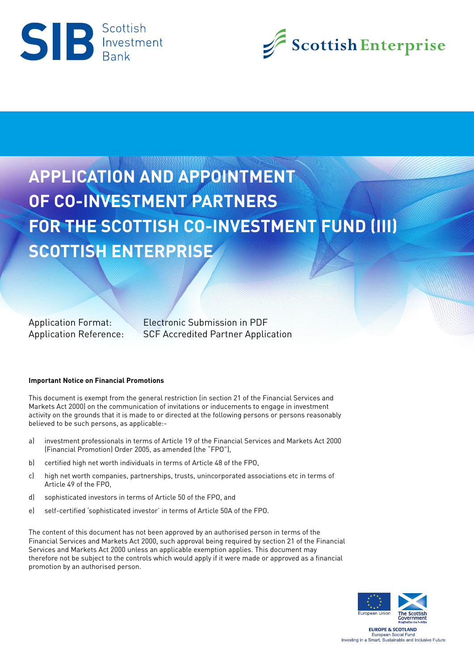



# **APPLICATION AND APPOINTMENT OF CO-INVESTMENT PARTNERS FOR THE SCOTTISH CO-INVESTMENT FUND (III) SCOTTISH ENTERPRISE**

Application Format: Electronic Submission in PDF Application Reference: SCF Accredited Partner Application

#### **Important Notice on Financial Promotions**

This document is exempt from the general restriction (in section 21 of the Financial Services and Markets Act 2000) on the communication of invitations or inducements to engage in investment activity on the grounds that it is made to or directed at the following persons or persons reasonably believed to be such persons, as applicable:-

- a) investment professionals in terms of Article 19 of the Financial Services and Markets Act 2000 (Financial Promotion) Order 2005, as amended (the "FPO"),
- b) certified high net worth individuals in terms of Article 48 of the FPO,
- c) high net worth companies, partnerships, trusts, unincorporated associations etc in terms of Article 49 of the FPO,
- d) sophisticated investors in terms of Article 50 of the FPO, and
- e) self-certified 'sophisticated investor' in terms of Article 50A of the FPO.

The content of this document has not been approved by an authorised person in terms of the Financial Services and Markets Act 2000, such approval being required by section 21 of the Financial Services and Markets Act 2000 unless an applicable exemption applies. This document may therefore not be subject to the controls which would apply if it were made or approved as a financial promotion by an authorised person.



**EUROPE & SCOTLAND** European Social Fund<br>Investing in a Smart, Sustainable and Inclusive Future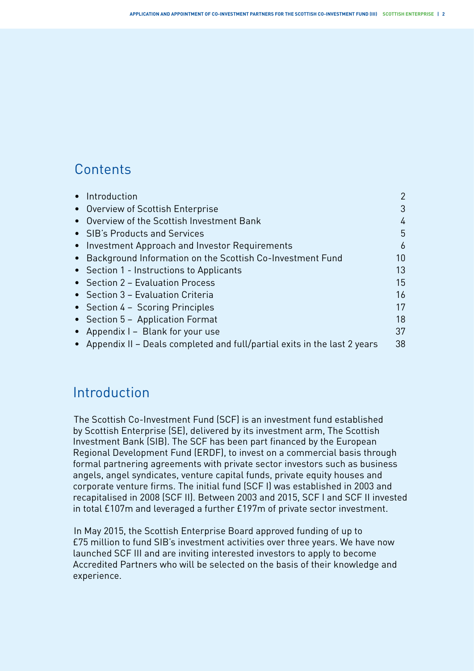## **Contents**

| 2              |
|----------------|
| 3              |
| $\overline{4}$ |
| 5              |
| 6              |
| 10             |
| 13             |
| 15             |
| 16             |
| 17             |
| 18             |
| 37             |
| 38             |
|                |

## Introduction

The Scottish Co-Investment Fund (SCF) is an investment fund established by Scottish Enterprise (SE), delivered by its investment arm, The Scottish Investment Bank (SIB). The SCF has been part financed by the European Regional Development Fund (ERDF), to invest on a commercial basis through formal partnering agreements with private sector investors such as business angels, angel syndicates, venture capital funds, private equity houses and corporate venture firms. The initial fund (SCF I) was established in 2003 and recapitalised in 2008 (SCF II). Between 2003 and 2015, SCF I and SCF II invested in total £107m and leveraged a further £197m of private sector investment.

In May 2015, the Scottish Enterprise Board approved funding of up to £75 million to fund SIB's investment activities over three years. We have now launched SCF III and are inviting interested investors to apply to become Accredited Partners who will be selected on the basis of their knowledge and experience.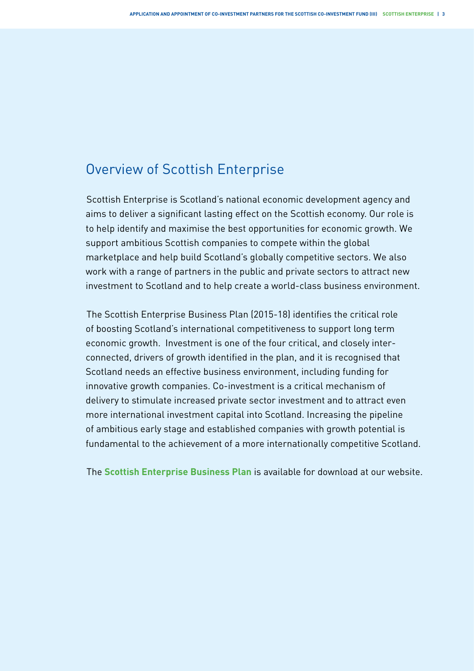## Overview of Scottish Enterprise

Scottish Enterprise is Scotland's national economic development agency and aims to deliver a significant lasting effect on the Scottish economy. Our role is to help identify and maximise the best opportunities for economic growth. We support ambitious Scottish companies to compete within the global marketplace and help build Scotland's globally competitive sectors. We also work with a range of partners in the public and private sectors to attract new investment to Scotland and to help create a world-class business environment.

The Scottish Enterprise Business Plan (2015-18) identifies the critical role of boosting Scotland's international competitiveness to support long term economic growth. Investment is one of the four critical, and closely interconnected, drivers of growth identified in the plan, and it is recognised that Scotland needs an effective business environment, including funding for innovative growth companies. Co-investment is a critical mechanism of delivery to stimulate increased private sector investment and to attract even more international investment capital into Scotland. Increasing the pipeline of ambitious early stage and established companies with growth potential is fundamental to the achievement of a more internationally competitive Scotland.

The **[Scottish Enterprise Business Plan](http://www.scottish-enterprise.com/about-us/what-we-do/business-plan?intcmp=hp02-2015wk19)** is available for download at our website.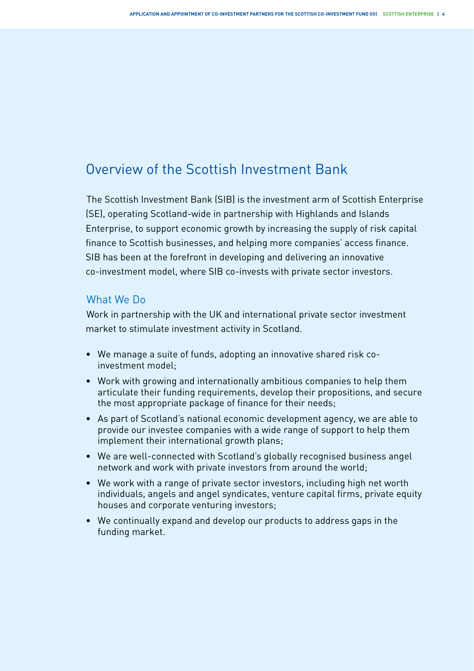## Overview of the Scottish Investment Bank

The Scottish Investment Bank (SIB) is the investment arm of Scottish Enterprise (SE), operating Scotland-wide in partnership with Highlands and Islands Enterprise, to support economic growth by increasing the supply of risk capital finance to Scottish businesses, and helping more companies' access finance. SIB has been at the forefront in developing and delivering an innovative co-investment model, where SIB co-invests with private sector investors.

#### What We Do

Work in partnership with the UK and international private sector investment market to stimulate investment activity in Scotland.

- We manage a suite of funds, adopting an innovative shared risk coinvestment model;
- Work with growing and internationally ambitious companies to help them articulate their funding requirements, develop their propositions, and secure the most appropriate package of finance for their needs;
- As part of Scotland's national economic development agency, we are able to provide our investee companies with a wide range of support to help them implement their international growth plans;
- We are well-connected with Scotland's globally recognised business angel network and work with private investors from around the world;
- We work with a range of private sector investors, including high net worth individuals, angels and angel syndicates, venture capital firms, private equity houses and corporate venturing investors;
- We continually expand and develop our products to address gaps in the funding market.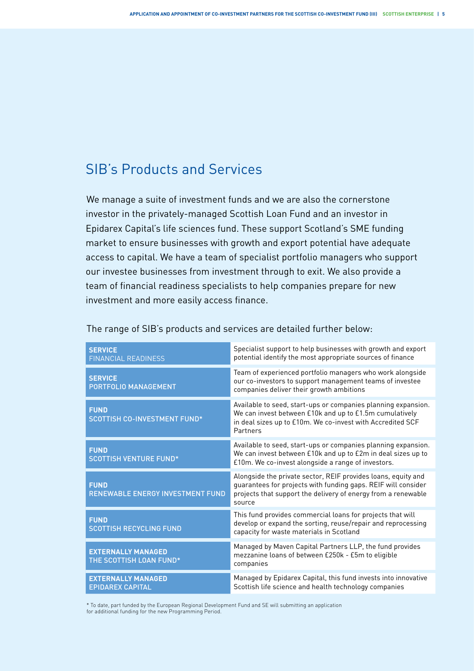## SIB's Products and Services

We manage a suite of investment funds and we are also the cornerstone investor in the privately-managed Scottish Loan Fund and an investor in Epidarex Capital's life sciences fund. These support Scotland's SME funding market to ensure businesses with growth and export potential have adequate access to capital. We have a team of specialist portfolio managers who support our investee businesses from investment through to exit. We also provide a team of financial readiness specialists to help companies prepare for new investment and more easily access finance.

| <b>SERVICE</b><br><b>FINANCIAL READINESS</b>           | Specialist support to help businesses with growth and export<br>potential identify the most appropriate sources of finance                                                                                |
|--------------------------------------------------------|-----------------------------------------------------------------------------------------------------------------------------------------------------------------------------------------------------------|
| <b>SERVICE</b><br>PORTFOLIO MANAGEMENT                 | Team of experienced portfolio managers who work alongside<br>our co-investors to support management teams of investee<br>companies deliver their growth ambitions                                         |
| <b>FUND</b><br><b>SCOTTISH CO-INVESTMENT FUND*</b>     | Available to seed, start-ups or companies planning expansion.<br>We can invest between £10k and up to £1.5m cumulatively<br>in deal sizes up to £10m. We co-invest with Accredited SCF<br>Partners        |
| <b>FUND</b><br><b>SCOTTISH VENTURE FUND*</b>           | Available to seed, start-ups or companies planning expansion.<br>We can invest between £10k and up to £2m in deal sizes up to<br>£10m. We co-invest alongside a range of investors.                       |
| <b>FUND</b><br><b>RENEWABLE ENERGY INVESTMENT FUND</b> | Alongside the private sector, REIF provides loans, equity and<br>guarantees for projects with funding gaps. REIF will consider<br>projects that support the delivery of energy from a renewable<br>source |
| <b>FUND</b><br><b>SCOTTISH RECYCLING FUND</b>          | This fund provides commercial loans for projects that will<br>develop or expand the sorting, reuse/repair and reprocessing<br>capacity for waste materials in Scotland                                    |
| <b>EXTERNALLY MANAGED</b><br>THE SCOTTISH LOAN FUND*   | Managed by Maven Capital Partners LLP, the fund provides<br>mezzanine loans of between £250k - £5m to eligible<br>companies                                                                               |
| <b>EXTERNALLY MANAGED</b><br><b>EPIDAREX CAPITAL</b>   | Managed by Epidarex Capital, this fund invests into innovative<br>Scottish life science and health technology companies                                                                                   |

The range of SIB's products and services are detailed further below:

\* To date, part funded by the European Regional Development Fund and SE will submitting an application for additional funding for the new Programming Period.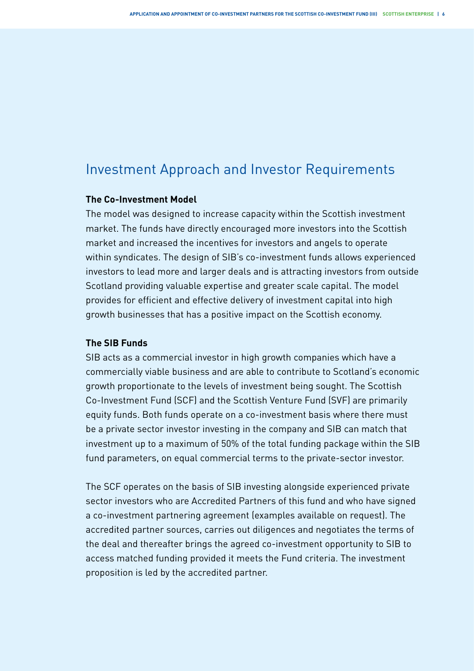## Investment Approach and Investor Requirements

#### **The Co-Investment Model**

The model was designed to increase capacity within the Scottish investment market. The funds have directly encouraged more investors into the Scottish market and increased the incentives for investors and angels to operate within syndicates. The design of SIB's co-investment funds allows experienced investors to lead more and larger deals and is attracting investors from outside Scotland providing valuable expertise and greater scale capital. The model provides for efficient and effective delivery of investment capital into high growth businesses that has a positive impact on the Scottish economy.

#### **The SIB Funds**

SIB acts as a commercial investor in high growth companies which have a commercially viable business and are able to contribute to Scotland's economic growth proportionate to the levels of investment being sought. The Scottish Co-Investment Fund (SCF) and the Scottish Venture Fund (SVF) are primarily equity funds. Both funds operate on a co-investment basis where there must be a private sector investor investing in the company and SIB can match that investment up to a maximum of 50% of the total funding package within the SIB fund parameters, on equal commercial terms to the private-sector investor.

The SCF operates on the basis of SIB investing alongside experienced private sector investors who are Accredited Partners of this fund and who have signed a co-investment partnering agreement (examples available on request). The accredited partner sources, carries out diligences and negotiates the terms of the deal and thereafter brings the agreed co-investment opportunity to SIB to access matched funding provided it meets the Fund criteria. The investment proposition is led by the accredited partner.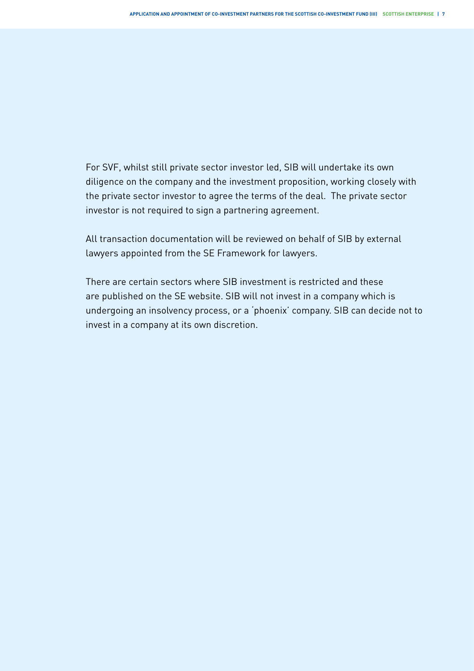For SVF, whilst still private sector investor led, SIB will undertake its own diligence on the company and the investment proposition, working closely with the private sector investor to agree the terms of the deal. The private sector investor is not required to sign a partnering agreement.

All transaction documentation will be reviewed on behalf of SIB by external lawyers appointed from the SE Framework for lawyers.

There are certain sectors where SIB investment is restricted and these are published on the SE website. SIB will not invest in a company which is undergoing an insolvency process, or a 'phoenix' company. SIB can decide not to invest in a company at its own discretion.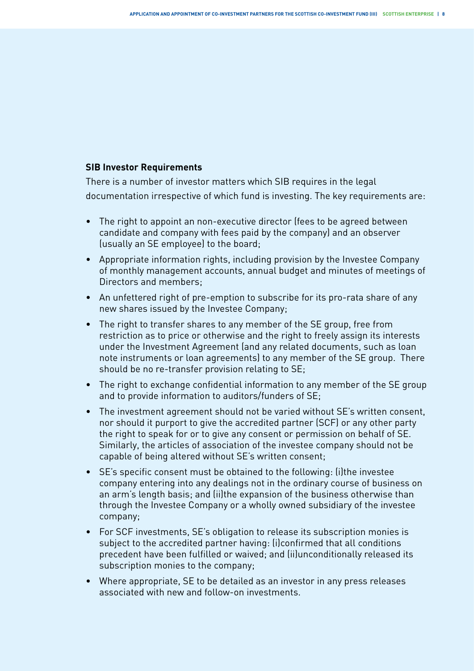#### **SIB Investor Requirements**

There is a number of investor matters which SIB requires in the legal documentation irrespective of which fund is investing. The key requirements are:

- The right to appoint an non-executive director (fees to be agreed between candidate and company with fees paid by the company) and an observer (usually an SE employee) to the board;
- Appropriate information rights, including provision by the Investee Company of monthly management accounts, annual budget and minutes of meetings of Directors and members;
- An unfettered right of pre-emption to subscribe for its pro-rata share of any new shares issued by the Investee Company;
- The right to transfer shares to any member of the SE group, free from restriction as to price or otherwise and the right to freely assign its interests under the Investment Agreement (and any related documents, such as loan note instruments or loan agreements) to any member of the SE group. There should be no re-transfer provision relating to SE;
- The right to exchange confidential information to any member of the SE group and to provide information to auditors/funders of SE;
- The investment agreement should not be varied without SE's written consent, nor should it purport to give the accredited partner (SCF) or any other party the right to speak for or to give any consent or permission on behalf of SE. Similarly, the articles of association of the investee company should not be capable of being altered without SE's written consent;
- SE's specific consent must be obtained to the following: (i)the investee company entering into any dealings not in the ordinary course of business on an arm's length basis; and (ii)the expansion of the business otherwise than through the Investee Company or a wholly owned subsidiary of the investee company;
- For SCF investments, SE's obligation to release its subscription monies is subject to the accredited partner having: (i)confirmed that all conditions precedent have been fulfilled or waived; and (ii)unconditionally released its subscription monies to the company;
- Where appropriate, SE to be detailed as an investor in any press releases associated with new and follow-on investments.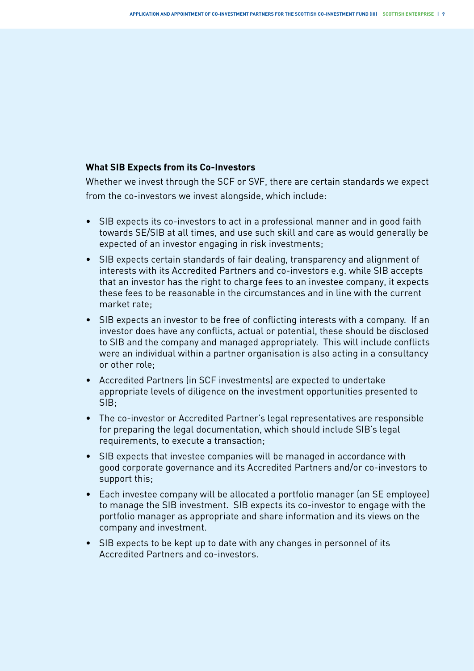#### **What SIB Expects from its Co-Investors**

Whether we invest through the SCF or SVF, there are certain standards we expect from the co-investors we invest alongside, which include:

- SIB expects its co-investors to act in a professional manner and in good faith towards SE/SIB at all times, and use such skill and care as would generally be expected of an investor engaging in risk investments;
- SIB expects certain standards of fair dealing, transparency and alignment of interests with its Accredited Partners and co-investors e.g. while SIB accepts that an investor has the right to charge fees to an investee company, it expects these fees to be reasonable in the circumstances and in line with the current market rate;
- SIB expects an investor to be free of conflicting interests with a company. If an investor does have any conflicts, actual or potential, these should be disclosed to SIB and the company and managed appropriately. This will include conflicts were an individual within a partner organisation is also acting in a consultancy or other role;
- Accredited Partners (in SCF investments) are expected to undertake appropriate levels of diligence on the investment opportunities presented to SIB;
- The co-investor or Accredited Partner's legal representatives are responsible for preparing the legal documentation, which should include SIB's legal requirements, to execute a transaction;
- SIB expects that investee companies will be managed in accordance with good corporate governance and its Accredited Partners and/or co-investors to support this;
- Each investee company will be allocated a portfolio manager (an SE employee) to manage the SIB investment. SIB expects its co-investor to engage with the portfolio manager as appropriate and share information and its views on the company and investment.
- SIB expects to be kept up to date with any changes in personnel of its Accredited Partners and co-investors.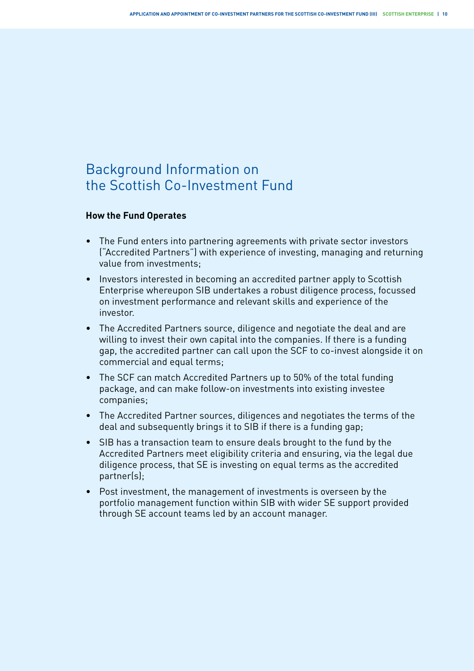## Background Information on the Scottish Co-Investment Fund

#### **How the Fund Operates**

- The Fund enters into partnering agreements with private sector investors ("Accredited Partners") with experience of investing, managing and returning value from investments;
- Investors interested in becoming an accredited partner apply to Scottish Enterprise whereupon SIB undertakes a robust diligence process, focussed on investment performance and relevant skills and experience of the investor.
- The Accredited Partners source, diligence and negotiate the deal and are willing to invest their own capital into the companies. If there is a funding gap, the accredited partner can call upon the SCF to co-invest alongside it on commercial and equal terms;
- The SCF can match Accredited Partners up to 50% of the total funding package, and can make follow-on investments into existing investee companies;
- The Accredited Partner sources, diligences and negotiates the terms of the deal and subsequently brings it to SIB if there is a funding gap;
- SIB has a transaction team to ensure deals brought to the fund by the Accredited Partners meet eligibility criteria and ensuring, via the legal due diligence process, that SE is investing on equal terms as the accredited partner(s);
- Post investment, the management of investments is overseen by the portfolio management function within SIB with wider SE support provided through SE account teams led by an account manager.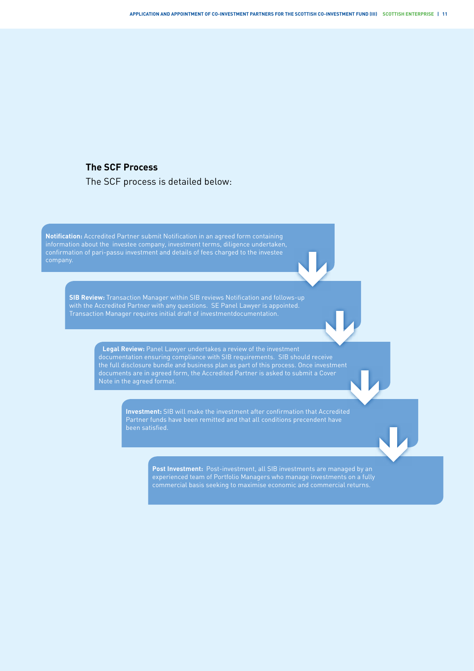#### **The SCF Process**

The SCF process is detailed below:

**Notification:** Accredited Partner submit Notification in an agreed form containing information about the investee company, investment terms, diligence undertaken, confirmation of pari-passu investment and details of fees charged to the investee

**SIB Review:** Transaction Manager within SIB reviews Notification and follows-up with the Accredited Partner with any questions. SE Panel Lawyer is appointed. Transaction Manager requires initial draft of investmentdocumentation.

**Legal Review:** Panel Lawyer undertakes a review of the investment documentation ensuring compliance with SIB requirements. SIB should receive the full disclosure bundle and business plan as part of this process. Once investment documents are in agreed form, the Accredited Partner is asked to submit a Cover Note in the agreed format. 

**Investment:** SIB will make the investment after confirmation that Accredited Partner funds have been remitted and that all conditions precendent have been satisfied. 

**Post Investment:** Post-investment, all SIB investments are managed by an experienced team of Portfolio Managers who manage investments on a fully commercial basis seeking to maximise economic and commercial returns.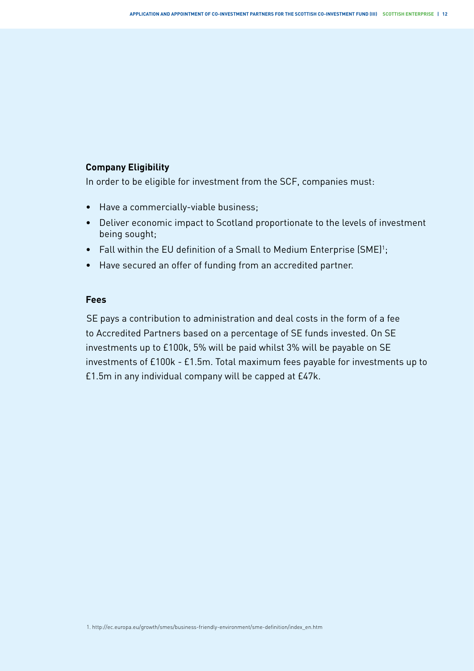#### **Company Eligibility**

In order to be eligible for investment from the SCF, companies must:

- Have a commercially-viable business;
- Deliver economic impact to Scotland proportionate to the levels of investment being sought;
- Fall within the EU definition of a Small to Medium Enterprise (SME)<sup>1</sup>;
- Have secured an offer of funding from an accredited partner.

#### **Fees**

SE pays a contribution to administration and deal costs in the form of a fee to Accredited Partners based on a percentage of SE funds invested. On SE investments up to £100k, 5% will be paid whilst 3% will be payable on SE investments of £100k - £1.5m. Total maximum fees payable for investments up to £1.5m in any individual company will be capped at £47k.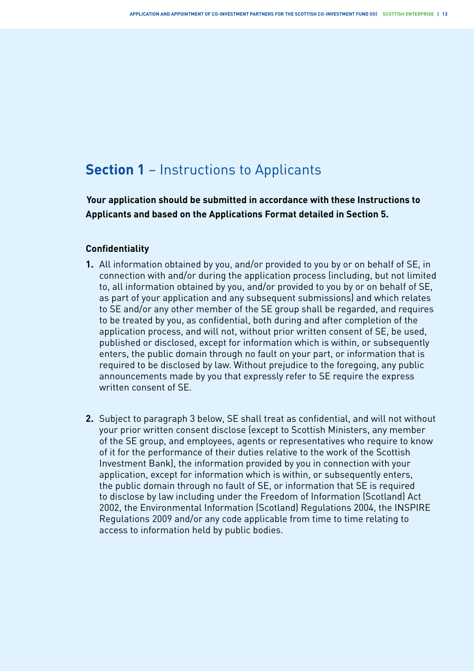## **Section 1** – Instructions to Applicants

**Your application should be submitted in accordance with these Instructions to Applicants and based on the Applications Format detailed in Section 5.** 

#### **Confidentiality**

- **1.** All information obtained by you, and/or provided to you by or on behalf of SE, in connection with and/or during the application process (including, but not limited to, all information obtained by you, and/or provided to you by or on behalf of SE, as part of your application and any subsequent submissions) and which relates to SE and/or any other member of the SE group shall be regarded, and requires to be treated by you, as confidential, both during and after completion of the application process, and will not, without prior written consent of SE, be used, published or disclosed, except for information which is within, or subsequently enters, the public domain through no fault on your part, or information that is required to be disclosed by law. Without prejudice to the foregoing, any public announcements made by you that expressly refer to SE require the express written consent of SE.
- **2.** Subject to paragraph 3 below, SE shall treat as confidential, and will not without your prior written consent disclose (except to Scottish Ministers, any member of the SE group, and employees, agents or representatives who require to know of it for the performance of their duties relative to the work of the Scottish Investment Bank), the information provided by you in connection with your application, except for information which is within, or subsequently enters, the public domain through no fault of SE, or information that SE is required to disclose by law including under the Freedom of Information (Scotland) Act 2002, the Environmental Information (Scotland) Regulations 2004, the INSPIRE Regulations 2009 and/or any code applicable from time to time relating to access to information held by public bodies.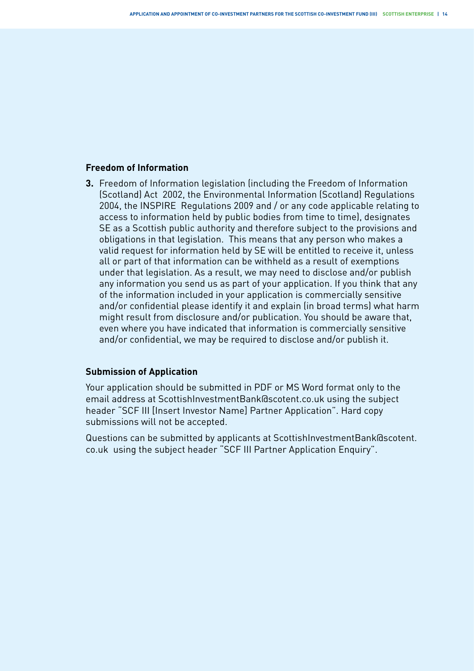#### **Freedom of Information**

**3.** Freedom of Information legislation (including the Freedom of Information (Scotland) Act 2002, the Environmental Information (Scotland) Regulations 2004, the INSPIRE Regulations 2009 and / or any code applicable relating to access to information held by public bodies from time to time), designates SE as a Scottish public authority and therefore subject to the provisions and obligations in that legislation. This means that any person who makes a valid request for information held by SE will be entitled to receive it, unless all or part of that information can be withheld as a result of exemptions under that legislation. As a result, we may need to disclose and/or publish any information you send us as part of your application. If you think that any of the information included in your application is commercially sensitive and/or confidential please identify it and explain (in broad terms) what harm might result from disclosure and/or publication. You should be aware that, even where you have indicated that information is commercially sensitive and/or confidential, we may be required to disclose and/or publish it.

#### **Submission of Application**

Your application should be submitted in PDF or MS Word format only to the email address at ScottishInvestmentBank@scotent.co.uk using the subject header "SCF III [Insert Investor Name] Partner Application". Hard copy submissions will not be accepted.

Questions can be submitted by applicants at ScottishInvestmentBank@scotent. co.uk using the subject header "SCF III Partner Application Enquiry".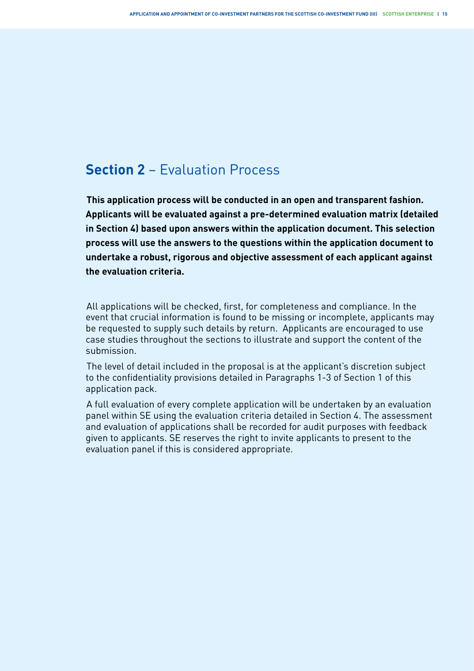## **Section 2** – Evaluation Process

**This application process will be conducted in an open and transparent fashion. Applicants will be evaluated against a pre-determined evaluation matrix (detailed in Section 4) based upon answers within the application document. This selection process will use the answers to the questions within the application document to undertake a robust, rigorous and objective assessment of each applicant against the evaluation criteria.** 

All applications will be checked, first, for completeness and compliance. In the event that crucial information is found to be missing or incomplete, applicants may be requested to supply such details by return. Applicants are encouraged to use case studies throughout the sections to illustrate and support the content of the submission.

The level of detail included in the proposal is at the applicant's discretion subject to the confidentiality provisions detailed in Paragraphs 1-3 of Section 1 of this application pack.

A full evaluation of every complete application will be undertaken by an evaluation panel within SE using the evaluation criteria detailed in Section 4. The assessment and evaluation of applications shall be recorded for audit purposes with feedback given to applicants. SE reserves the right to invite applicants to present to the evaluation panel if this is considered appropriate.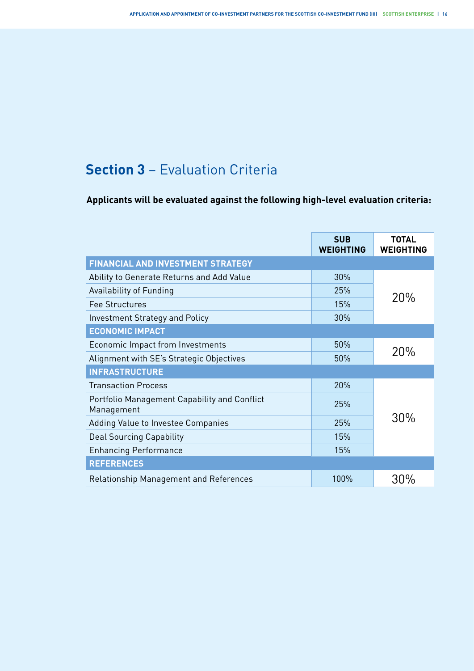## **Section 3** – Evaluation Criteria

**Applicants will be evaluated against the following high-level evaluation criteria:**

|                                                            | <b>SUB</b><br><b>WEIGHTING</b> | ΤΩΤΔΙ<br><b>WEIGHTING</b> |  |
|------------------------------------------------------------|--------------------------------|---------------------------|--|
| FINANCIAL AND INVESTMENT STRATEGY                          |                                |                           |  |
| Ability to Generate Returns and Add Value                  | 30%                            |                           |  |
| Availability of Funding                                    | 25%                            | 20%                       |  |
| <b>Fee Structures</b>                                      | 15%                            |                           |  |
| <b>Investment Strategy and Policy</b>                      | 30%                            |                           |  |
| <b>ECONOMIC IMPACT</b>                                     |                                |                           |  |
| Economic Impact from Investments                           | 50%                            | 20%                       |  |
| Alignment with SE's Strategic Objectives                   | 50%                            |                           |  |
| <b>INFRASTRUCTURE</b>                                      |                                |                           |  |
| <b>Transaction Process</b>                                 | 20%                            |                           |  |
| Portfolio Management Capability and Conflict<br>Management | 25%                            |                           |  |
| Adding Value to Investee Companies                         | 25%                            | 30%                       |  |
| <b>Deal Sourcing Capability</b>                            | 15%                            |                           |  |
| <b>Enhancing Performance</b>                               | 15%                            |                           |  |
| <b>REFERENCES</b>                                          |                                |                           |  |
| <b>Relationship Management and References</b>              | 100%                           | 30%                       |  |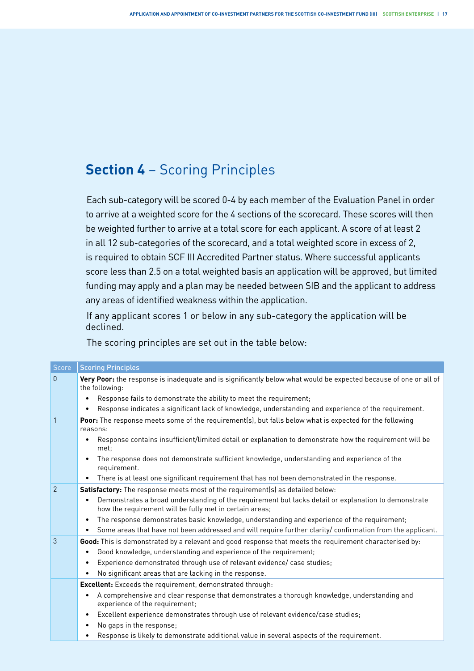## **Section 4** – Scoring Principles

Each sub-category will be scored 0-4 by each member of the Evaluation Panel in order to arrive at a weighted score for the 4 sections of the scorecard. These scores will then be weighted further to arrive at a total score for each applicant. A score of at least 2 in all 12 sub-categories of the scorecard, and a total weighted score in excess of 2, is required to obtain SCF III Accredited Partner status. Where successful applicants score less than 2.5 on a total weighted basis an application will be approved, but limited funding may apply and a plan may be needed between SIB and the applicant to address any areas of identified weakness within the application.

If any applicant scores 1 or below in any sub-category the application will be declined.

The scoring principles are set out in the table below:

| Score          | <b>Scoring Principles</b>                                                                                                                                       |
|----------------|-----------------------------------------------------------------------------------------------------------------------------------------------------------------|
| $\Omega$       | Very Poor: the response is inadequate and is significantly below what would be expected because of one or all of<br>the following:                              |
|                | Response fails to demonstrate the ability to meet the requirement;<br>$\bullet$                                                                                 |
|                | Response indicates a significant lack of knowledge, understanding and experience of the requirement.<br>٠                                                       |
| 1              | Poor: The response meets some of the requirement(s), but falls below what is expected for the following<br>reasons:                                             |
|                | Response contains insufficient/limited detail or explanation to demonstrate how the requirement will be<br>met:                                                 |
|                | The response does not demonstrate sufficient knowledge, understanding and experience of the<br>requirement.                                                     |
|                | There is at least one significant requirement that has not been demonstrated in the response.                                                                   |
| $\overline{2}$ | Satisfactory: The response meets most of the requirement(s) as detailed below:                                                                                  |
|                | Demonstrates a broad understanding of the requirement but lacks detail or explanation to demonstrate<br>how the requirement will be fully met in certain areas; |
|                | The response demonstrates basic knowledge, understanding and experience of the requirement;<br>$\bullet$                                                        |
|                | Some areas that have not been addressed and will require further clarity/ confirmation from the applicant.                                                      |
| 3              | Good: This is demonstrated by a relevant and good response that meets the requirement characterised by:                                                         |
|                | Good knowledge, understanding and experience of the requirement;                                                                                                |
|                | Experience demonstrated through use of relevant evidence/ case studies;<br>$\bullet$                                                                            |
|                | No significant areas that are lacking in the response.<br>$\bullet$                                                                                             |
|                | <b>Excellent:</b> Exceeds the requirement, demonstrated through:                                                                                                |
|                | A comprehensive and clear response that demonstrates a thorough knowledge, understanding and<br>experience of the requirement;                                  |
|                | Excellent experience demonstrates through use of relevant evidence/case studies;<br>٠                                                                           |
|                | No gaps in the response;<br>$\bullet$                                                                                                                           |
|                | Response is likely to demonstrate additional value in several aspects of the requirement.<br>$\bullet$                                                          |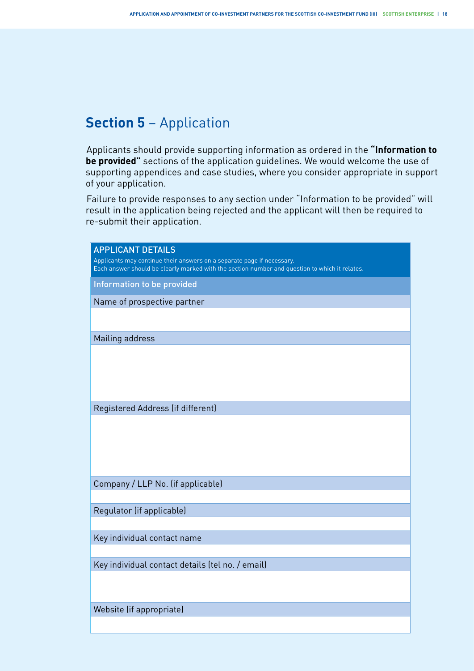## **Section 5** – Application

Applicants should provide supporting information as ordered in the **"Information to be provided"** sections of the application guidelines. We would welcome the use of supporting appendices and case studies, where you consider appropriate in support of your application.

Failure to provide responses to any section under "Information to be provided" will result in the application being rejected and the applicant will then be required to re-submit their application.

| <b>APPLICANT DETAILS</b><br>Applicants may continue their answers on a separate page if necessary.<br>Each answer should be clearly marked with the section number and question to which it relates. |
|------------------------------------------------------------------------------------------------------------------------------------------------------------------------------------------------------|
| Information to be provided                                                                                                                                                                           |
| Name of prospective partner                                                                                                                                                                          |
|                                                                                                                                                                                                      |
| Mailing address                                                                                                                                                                                      |
|                                                                                                                                                                                                      |
| Registered Address (if different)                                                                                                                                                                    |
|                                                                                                                                                                                                      |
| Company / LLP No. (if applicable)                                                                                                                                                                    |
|                                                                                                                                                                                                      |
| Regulator (if applicable)                                                                                                                                                                            |
| Key individual contact name                                                                                                                                                                          |
|                                                                                                                                                                                                      |
| Key individual contact details (tel no. / email)                                                                                                                                                     |
|                                                                                                                                                                                                      |
| Website (if appropriate)                                                                                                                                                                             |
|                                                                                                                                                                                                      |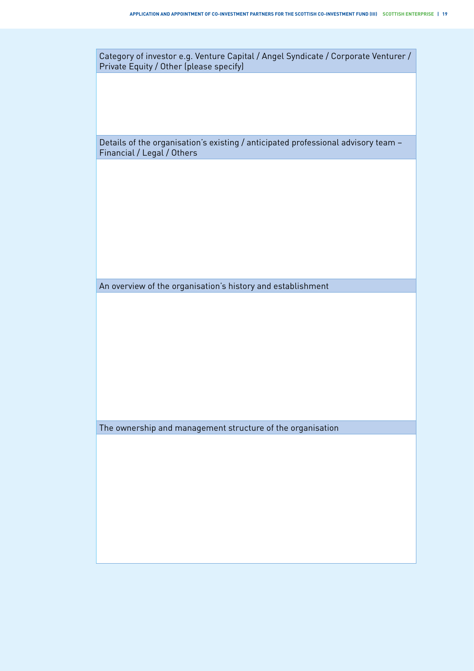

The ownership and management structure of the organisation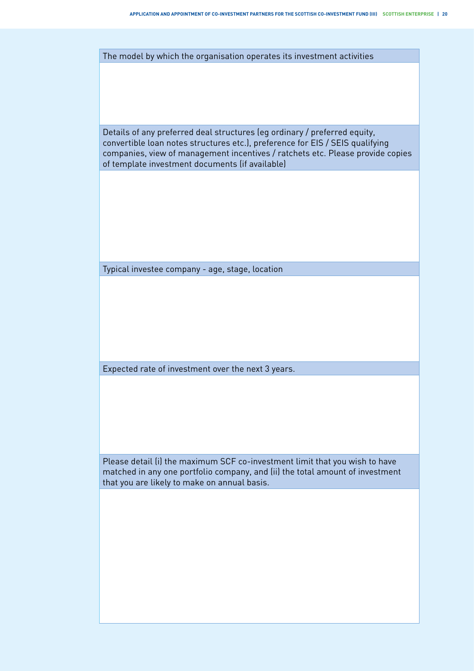| The model by which the organisation operates its investment activities                                                                                       |
|--------------------------------------------------------------------------------------------------------------------------------------------------------------|
|                                                                                                                                                              |
|                                                                                                                                                              |
|                                                                                                                                                              |
|                                                                                                                                                              |
|                                                                                                                                                              |
| Details of any preferred deal structures (eg ordinary / preferred equity,<br>convertible loan notes structures etc.), preference for EIS / SEIS qualifying   |
| companies, view of management incentives / ratchets etc. Please provide copies                                                                               |
| of template investment documents (if available)                                                                                                              |
|                                                                                                                                                              |
|                                                                                                                                                              |
|                                                                                                                                                              |
|                                                                                                                                                              |
|                                                                                                                                                              |
|                                                                                                                                                              |
|                                                                                                                                                              |
| Typical investee company - age, stage, location                                                                                                              |
|                                                                                                                                                              |
|                                                                                                                                                              |
|                                                                                                                                                              |
|                                                                                                                                                              |
|                                                                                                                                                              |
|                                                                                                                                                              |
| Expected rate of investment over the next 3 years.                                                                                                           |
|                                                                                                                                                              |
|                                                                                                                                                              |
|                                                                                                                                                              |
|                                                                                                                                                              |
|                                                                                                                                                              |
|                                                                                                                                                              |
| Please detail (i) the maximum SCF co-investment limit that you wish to have<br>matched in any one portfolio company, and (ii) the total amount of investment |
| that you are likely to make on annual basis.                                                                                                                 |
|                                                                                                                                                              |
|                                                                                                                                                              |
|                                                                                                                                                              |
|                                                                                                                                                              |
|                                                                                                                                                              |
|                                                                                                                                                              |
|                                                                                                                                                              |
|                                                                                                                                                              |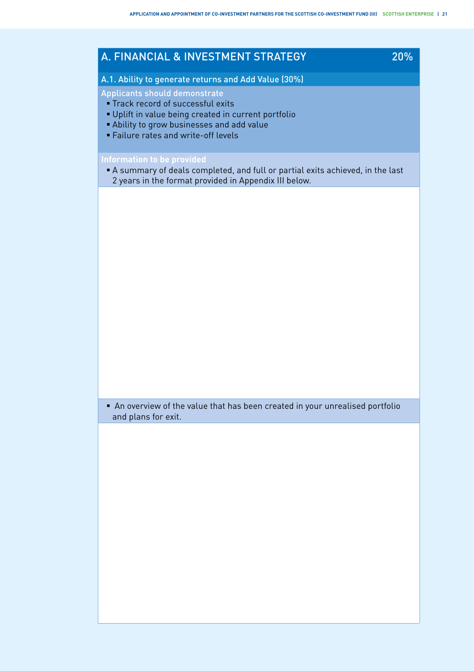| A. FINANCIAL & INVESTMENT STRATEGY                                                                                                                                                                                   | 20% |
|----------------------------------------------------------------------------------------------------------------------------------------------------------------------------------------------------------------------|-----|
| A.1. Ability to generate returns and Add Value (30%)                                                                                                                                                                 |     |
| <b>Applicants should demonstrate</b><br>" Track record of successful exits<br>Uplift in value being created in current portfolio<br>Ability to grow businesses and add value<br>· Failure rates and write-off levels |     |
| <b>Information to be provided</b><br>A summary of deals completed, and full or partial exits achieved, in the last<br>2 years in the format provided in Appendix III below.                                          |     |
|                                                                                                                                                                                                                      |     |
|                                                                                                                                                                                                                      |     |
|                                                                                                                                                                                                                      |     |
|                                                                                                                                                                                                                      |     |
|                                                                                                                                                                                                                      |     |

■ An overview of the value that has been created in your unrealised portfolio and plans for exit.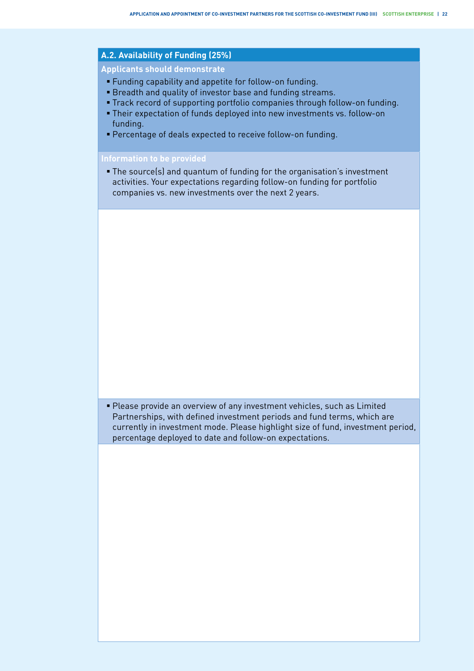#### **A.2. Availability of Funding (25%)**

**Applicants should demonstrate**

- Funding capability and appetite for follow-on funding.
- **Breadth and quality of investor base and funding streams.**
- Track record of supporting portfolio companies through follow-on funding.
- Their expectation of funds deployed into new investments vs. follow-on funding.
- Percentage of deals expected to receive follow-on funding.

**• The source(s) and quantum of funding for the organisation's investment** activities. Your expectations regarding follow-on funding for portfolio companies vs. new investments over the next 2 years.

■ Please provide an overview of any investment vehicles, such as Limited Partnerships, with defined investment periods and fund terms, which are currently in investment mode. Please highlight size of fund, investment period, percentage deployed to date and follow-on expectations.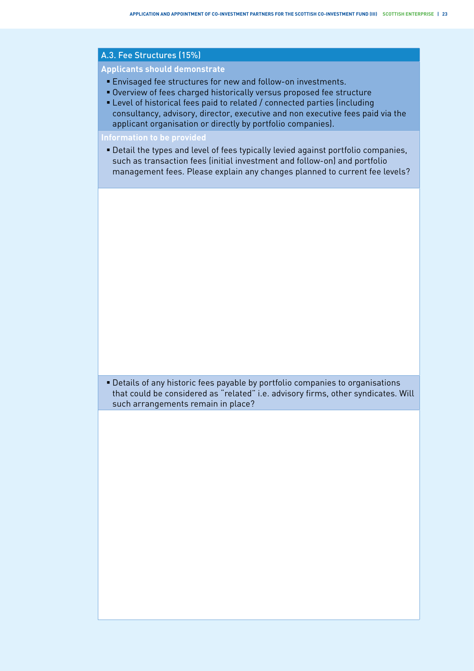#### A.3. Fee Structures (15%)

#### **Applicants should demonstrate**

- **Envisaged fee structures for new and follow-on investments.**
- Overview of fees charged historically versus proposed fee structure
- Level of historical fees paid to related / connected parties (including consultancy, advisory, director, executive and non executive fees paid via the applicant organisation or directly by portfolio companies).
- 
- Detail the types and level of fees typically levied against portfolio companies, such as transaction fees (initial investment and follow-on) and portfolio management fees. Please explain any changes planned to current fee levels?

**• Details of any historic fees payable by portfolio companies to organisations** that could be considered as "related" i.e. advisory firms, other syndicates. Will such arrangements remain in place?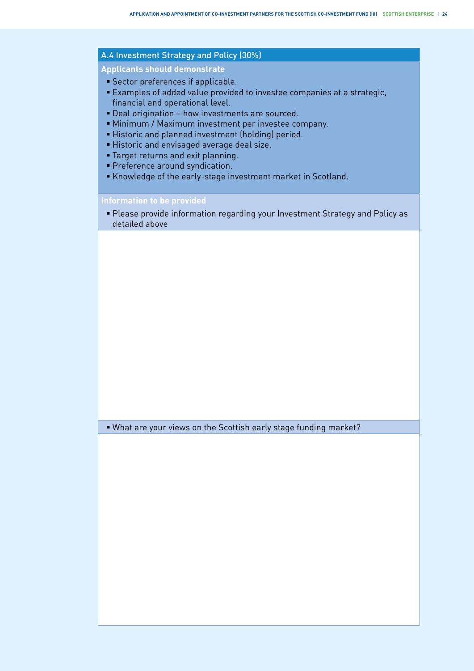#### A.4 Investment Strategy and Policy (30%)

**Applicants should demonstrate**

- Sector preferences if applicable.
- Examples of added value provided to investee companies at a strategic, financial and operational level.
- Deal origination how investments are sourced.
- Minimum / Maximum investment per investee company.
- **Historic and planned investment (holding) period.**
- **Example 3** Historic and envisaged average deal size.
- **Target returns and exit planning.**
- **Preference around syndication.**
- Knowledge of the early-stage investment market in Scotland.

**• Please provide information regarding your Investment Strategy and Policy as** detailed above

■ What are your views on the Scottish early stage funding market?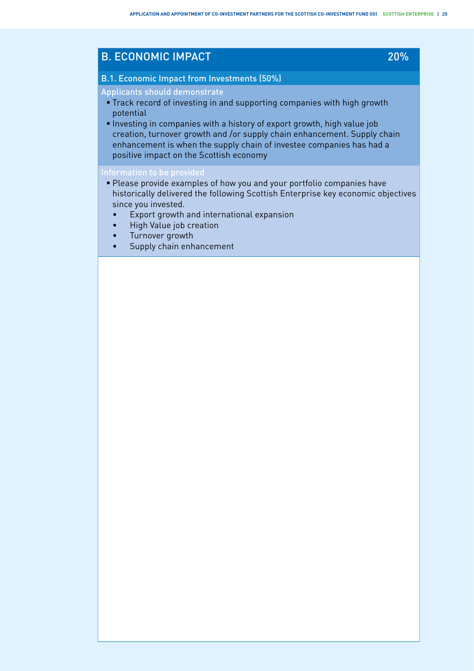### B. ECONOMIC IMPACT **20%**

#### B.1. Economic Impact from Investments (50%)

#### Applicants should demonstrate

- Track record of investing in and supporting companies with high growth potential
- **Investing in companies with a history of export growth, high value job** creation, turnover growth and /or supply chain enhancement. Supply chain enhancement is when the supply chain of investee companies has had a positive impact on the Scottish economy

#### Information to be provided

- Please provide examples of how you and your portfolio companies have historically delivered the following Scottish Enterprise key economic objectives since you invested.
	- Export growth and international expansion
	- High Value job creation
	- Turnover growth
	- Supply chain enhancement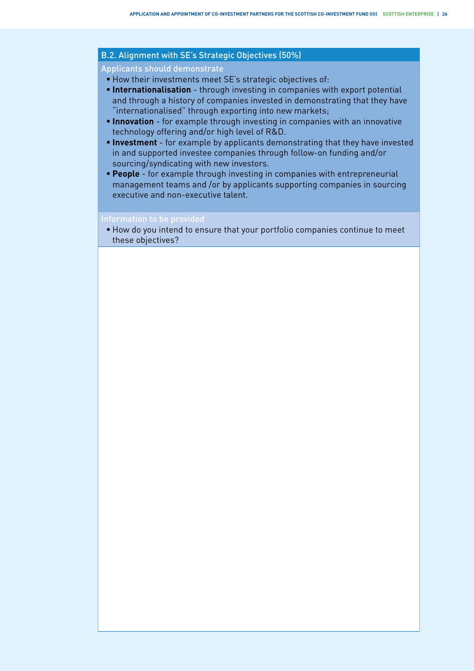#### B.2. Alignment with SE's Strategic Objectives (50%)

Applicants should demonstrate

- **How their investments meet SE's strategic objectives of:**
- **Internationalisation** through investing in companies with export potential and through a history of companies invested in demonstrating that they have "internationalised" through exporting into new markets;
- **Innovation** for example through investing in companies with an innovative technology offering and/or high level of R&D.
- **Investment** for example by applicants demonstrating that they have invested in and supported investee companies through follow-on funding and/or sourcing/syndicating with new investors.
- **People** for example through investing in companies with entrepreneurial management teams and /or by applicants supporting companies in sourcing executive and non-executive talent.

■ How do you intend to ensure that your portfolio companies continue to meet these objectives?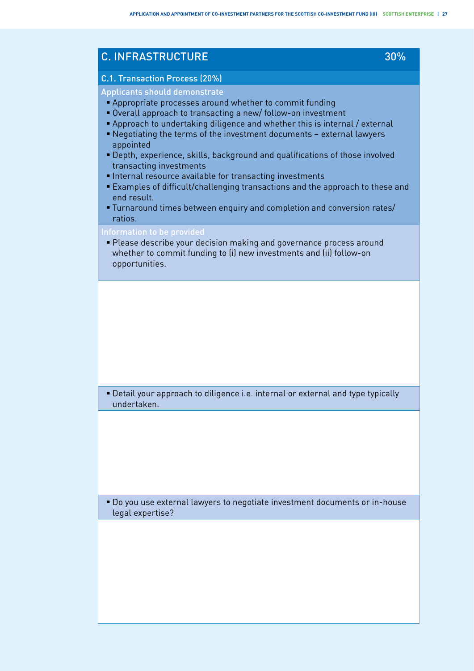### C. INFRASTRUCTURE 200%

#### C.1. Transaction Process (20%)

Applicants should demonstrate

- **Appropriate processes around whether to commit funding**
- Overall approach to transacting a new/ follow-on investment
- Approach to undertaking diligence and whether this is internal / external
- Negotiating the terms of the investment documents external lawyers appointed
- Depth, experience, skills, background and qualifications of those involved transacting investments
- **Internal resource available for transacting investments**
- Examples of difficult/challenging transactions and the approach to these and end result.
- Turnaround times between enquiry and completion and conversion rates/ ratios.

#### Information to be provided

■ Please describe your decision making and governance process around whether to commit funding to (i) new investments and (ii) follow-on opportunities.

■ Detail your approach to diligence i.e. internal or external and type typically undertaken.

■ Do you use external lawyers to negotiate investment documents or in-house legal expertise?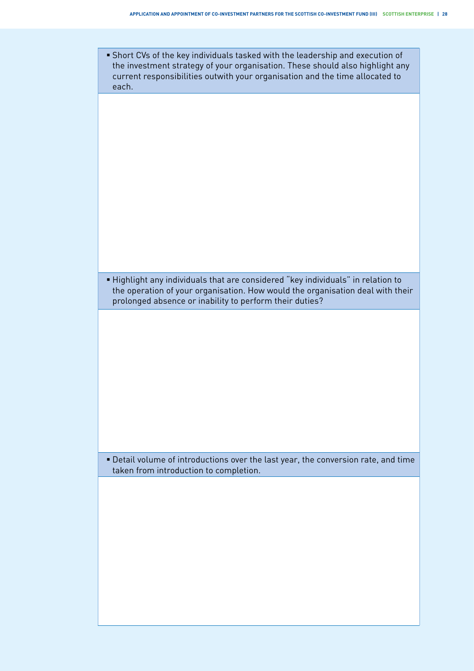| • Short CVs of the key individuals tasked with the leadership and execution of |
|--------------------------------------------------------------------------------|
| the investment strategy of your organisation. These should also highlight any  |
| current responsibilities outwith your organisation and the time allocated to   |
| each.                                                                          |

§ Highlight any individuals that are considered "key individuals" in relation to the operation of your organisation. How would the organisation deal with their prolonged absence or inability to perform their duties?

■ Detail volume of introductions over the last year, the conversion rate, and time taken from introduction to completion.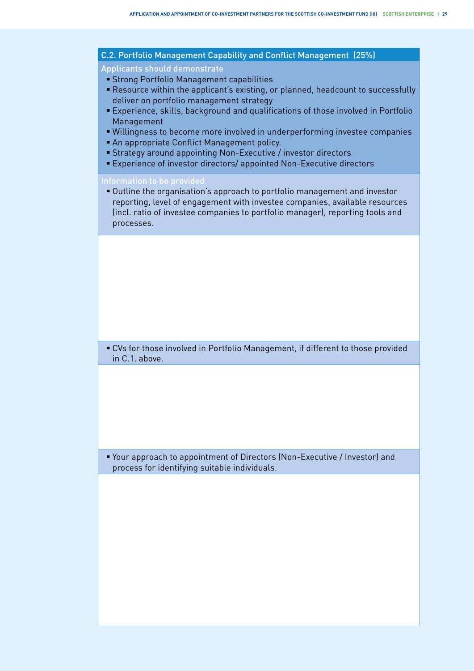# C.2. Portfolio Management Capability and Conflict Management (25%) Applicants should demonstrate **• Strong Portfolio Management capabilities** ■ Resource within the applicant's existing, or planned, headcount to successfully deliver on portfolio management strategy ■ Experience, skills, background and qualifications of those involved in Portfolio Management ■ Willingness to become more involved in underperforming investee companies ■ An appropriate Conflict Management policy. **Strategy around appointing Non-Executive / investor directors** ■ Experience of investor directors/ appointed Non-Executive directors Information to be provided ■ Outline the organisation's approach to portfolio management and investor reporting, level of engagement with investee companies, available resources (incl. ratio of investee companies to portfolio manager), reporting tools and processes. ■ CVs for those involved in Portfolio Management, if different to those provided in C.1. above.

■ Your approach to appointment of Directors (Non-Executive / Investor) and process for identifying suitable individuals.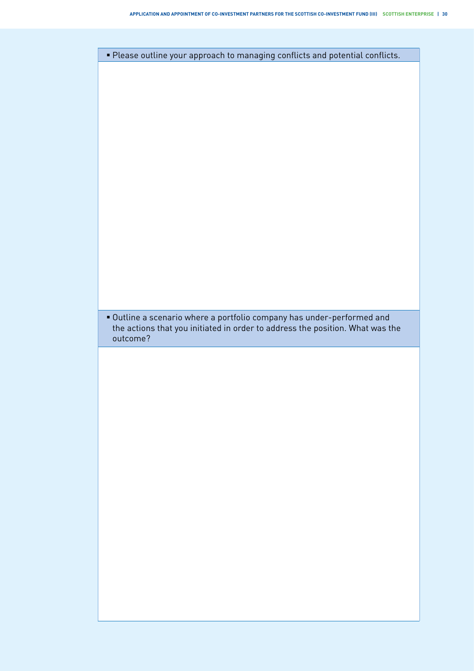| <b>Please outline your approach to managing conflicts and potential conflicts.</b> |  |  |  |  |
|------------------------------------------------------------------------------------|--|--|--|--|
|                                                                                    |  |  |  |  |
|                                                                                    |  |  |  |  |

■ Outline a scenario where a portfolio company has under-performed and the actions that you initiated in order to address the position. What was the outcome?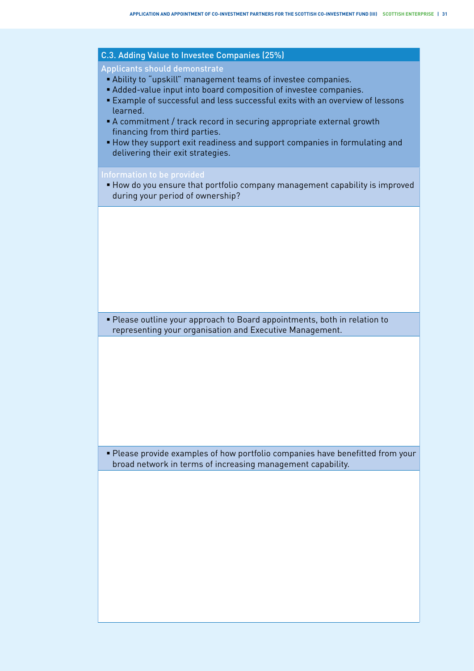#### C.3. Adding Value to Investee Companies (25%)

Applicants should demonstrate

- **•** Ability to "upskill" management teams of investee companies.
- Added-value input into board composition of investee companies.
- Example of successful and less successful exits with an overview of lessons learned.
- A commitment / track record in securing appropriate external growth financing from third parties.
- How they support exit readiness and support companies in formulating and delivering their exit strategies.

■ How do you ensure that portfolio company management capability is improved during your period of ownership?

■ Please outline your approach to Board appointments, both in relation to representing your organisation and Executive Management.

■ Please provide examples of how portfolio companies have benefitted from your broad network in terms of increasing management capability.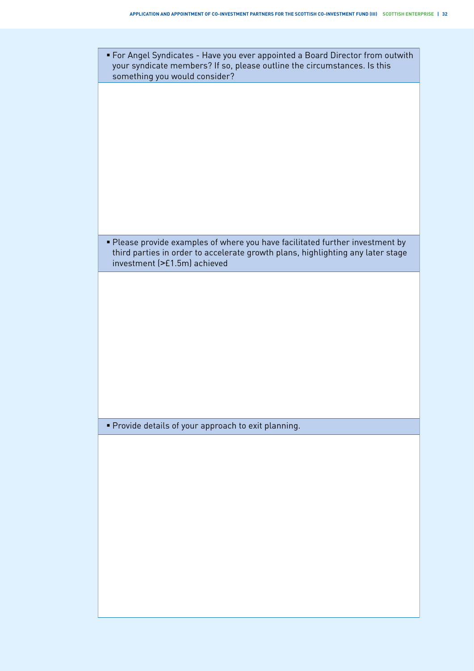| • For Angel Syndicates - Have you ever appointed a Board Director from outwith<br>your syndicate members? If so, please outline the circumstances. Is this<br>something you would consider?      |
|--------------------------------------------------------------------------------------------------------------------------------------------------------------------------------------------------|
|                                                                                                                                                                                                  |
|                                                                                                                                                                                                  |
|                                                                                                                                                                                                  |
|                                                                                                                                                                                                  |
|                                                                                                                                                                                                  |
| • Please provide examples of where you have facilitated further investment by<br>third parties in order to accelerate growth plans, highlighting any later stage<br>investment (>£1.5m) achieved |
|                                                                                                                                                                                                  |
|                                                                                                                                                                                                  |
|                                                                                                                                                                                                  |
|                                                                                                                                                                                                  |
|                                                                                                                                                                                                  |
| Provide details of your approach to exit planning.                                                                                                                                               |
|                                                                                                                                                                                                  |
|                                                                                                                                                                                                  |
|                                                                                                                                                                                                  |
|                                                                                                                                                                                                  |
|                                                                                                                                                                                                  |
|                                                                                                                                                                                                  |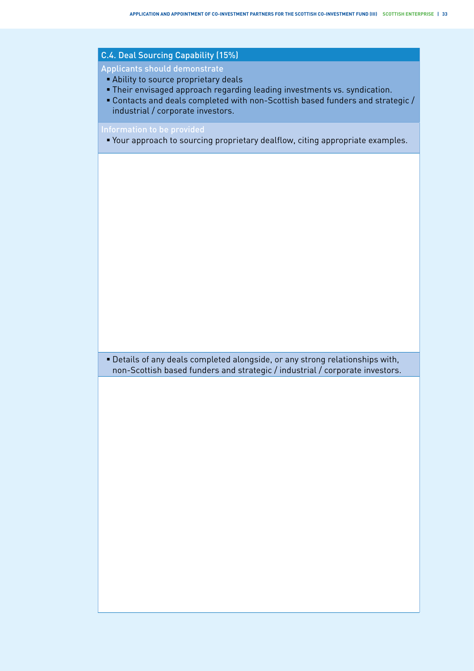### C.4. Deal Sourcing Capability (15%)

Applicants should demonstrate

- **Ability to source proprietary deals**
- **Their envisaged approach regarding leading investments vs. syndication.**
- Contacts and deals completed with non-Scottish based funders and strategic / industrial / corporate investors.

■ Your approach to sourcing proprietary dealflow, citing appropriate examples.

**• Details of any deals completed alongside, or any strong relationships with,** non-Scottish based funders and strategic / industrial / corporate investors.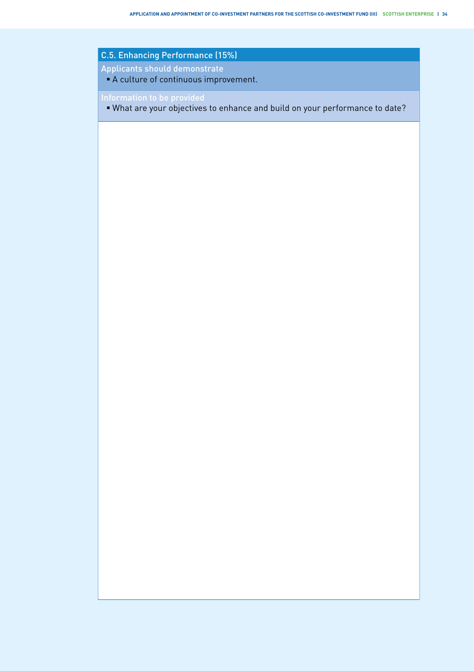#### C.5. Enhancing Performance (15%)

Applicants should demonstrate

**A** culture of continuous improvement.

■ What are your objectives to enhance and build on your performance to date?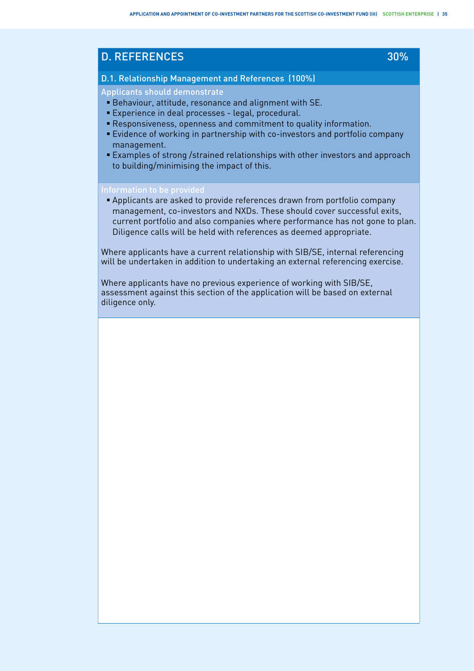| <b>D. REFERENCES</b>                                                                                                                                          | $30\%$ |
|---------------------------------------------------------------------------------------------------------------------------------------------------------------|--------|
| D.1. Relationship Management and References (100%)                                                                                                            |        |
| Applicants should demonstrate<br><b>Behaviour, attitude, resonance and alignment with SE.</b><br>$\blacksquare$ Experience in deal precesses legal precedural |        |

- Experience in deal processes legal, procedural.
- Responsiveness, openness and commitment to quality information.
- Evidence of working in partnership with co-investors and portfolio company management.
- Examples of strong /strained relationships with other investors and approach to building/minimising the impact of this.

#### Information to be provided

§ Applicants are asked to provide references drawn from portfolio company management, co-investors and NXDs. These should cover successful exits, current portfolio and also companies where performance has not gone to plan. Diligence calls will be held with references as deemed appropriate.

Where applicants have a current relationship with SIB/SE, internal referencing will be undertaken in addition to undertaking an external referencing exercise.

Where applicants have no previous experience of working with SIB/SE, assessment against this section of the application will be based on external diligence only.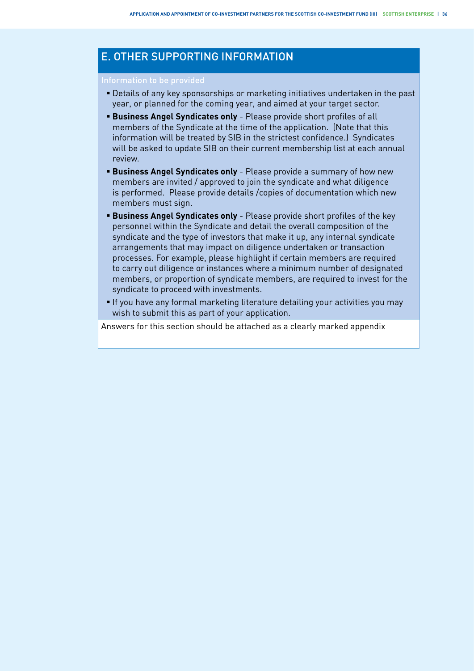### E. OTHER SUPPORTING INFORMATION

- Details of any key sponsorships or marketing initiatives undertaken in the past year, or planned for the coming year, and aimed at your target sector.
- **Business Angel Syndicates only** Please provide short profiles of all members of the Syndicate at the time of the application. (Note that this information will be treated by SIB in the strictest confidence.) Syndicates will be asked to update SIB on their current membership list at each annual review.
- **Eusiness Angel Syndicates only** Please provide a summary of how new members are invited / approved to join the syndicate and what diligence is performed. Please provide details /copies of documentation which new members must sign.
- **Eusiness Angel Syndicates only** Please provide short profiles of the key personnel within the Syndicate and detail the overall composition of the syndicate and the type of investors that make it up, any internal syndicate arrangements that may impact on diligence undertaken or transaction processes. For example, please highlight if certain members are required to carry out diligence or instances where a minimum number of designated members, or proportion of syndicate members, are required to invest for the syndicate to proceed with investments.
- **•** If you have any formal marketing literature detailing your activities you may wish to submit this as part of your application.

Answers for this section should be attached as a clearly marked appendix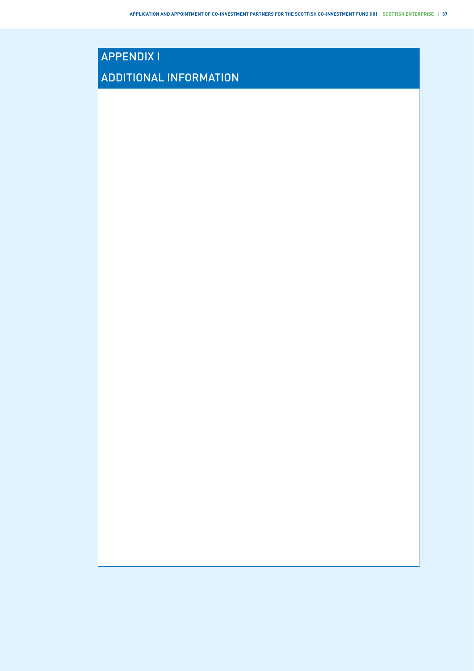## APPENDIX I

## ADDITIONAL INFORMATION